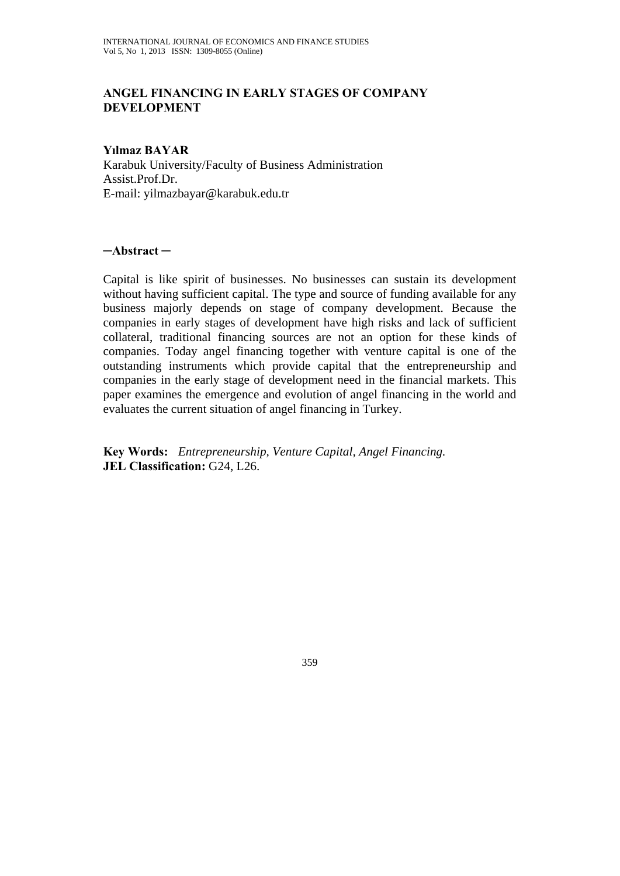### **ANGEL FINANCING IN EARLY STAGES OF COMPANY DEVELOPMENT**

#### **Yılmaz BAYAR**

Karabuk University/Faculty of Business Administration Assist.Prof.Dr. E-mail: yilmazbayar@karabuk.edu.tr

#### **─Abstract ─**

Capital is like spirit of businesses. No businesses can sustain its development without having sufficient capital. The type and source of funding available for any business majorly depends on stage of company development. Because the companies in early stages of development have high risks and lack of sufficient collateral, traditional financing sources are not an option for these kinds of companies. Today angel financing together with venture capital is one of the outstanding instruments which provide capital that the entrepreneurship and companies in the early stage of development need in the financial markets. This paper examines the emergence and evolution of angel financing in the world and evaluates the current situation of angel financing in Turkey.

**Key Words:** *Entrepreneurship, Venture Capital, Angel Financing.*  **JEL Classification:** G24, L26.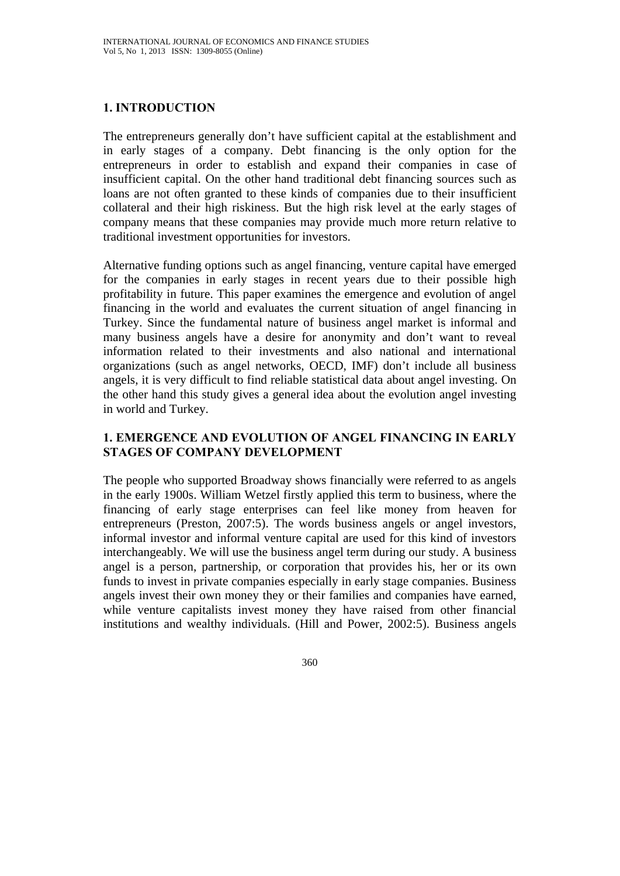# **1. INTRODUCTION**

The entrepreneurs generally don't have sufficient capital at the establishment and in early stages of a company. Debt financing is the only option for the entrepreneurs in order to establish and expand their companies in case of insufficient capital. On the other hand traditional debt financing sources such as loans are not often granted to these kinds of companies due to their insufficient collateral and their high riskiness. But the high risk level at the early stages of company means that these companies may provide much more return relative to traditional investment opportunities for investors.

Alternative funding options such as angel financing, venture capital have emerged for the companies in early stages in recent years due to their possible high profitability in future. This paper examines the emergence and evolution of angel financing in the world and evaluates the current situation of angel financing in Turkey. Since the fundamental nature of business angel market is informal and many business angels have a desire for anonymity and don't want to reveal information related to their investments and also national and international organizations (such as angel networks, OECD, IMF) don't include all business angels, it is very difficult to find reliable statistical data about angel investing. On the other hand this study gives a general idea about the evolution angel investing in world and Turkey.

### **1. EMERGENCE AND EVOLUTION OF ANGEL FINANCING IN EARLY STAGES OF COMPANY DEVELOPMENT**

The people who supported Broadway shows financially were referred to as angels in the early 1900s. William Wetzel firstly applied this term to business, where the financing of early stage enterprises can feel like money from heaven for entrepreneurs (Preston, 2007:5). The words business angels or angel investors, informal investor and informal venture capital are used for this kind of investors interchangeably. We will use the business angel term during our study. A business angel is a person, partnership, or corporation that provides his, her or its own funds to invest in private companies especially in early stage companies. Business angels invest their own money they or their families and companies have earned, while venture capitalists invest money they have raised from other financial institutions and wealthy individuals. (Hill and Power, 2002:5). Business angels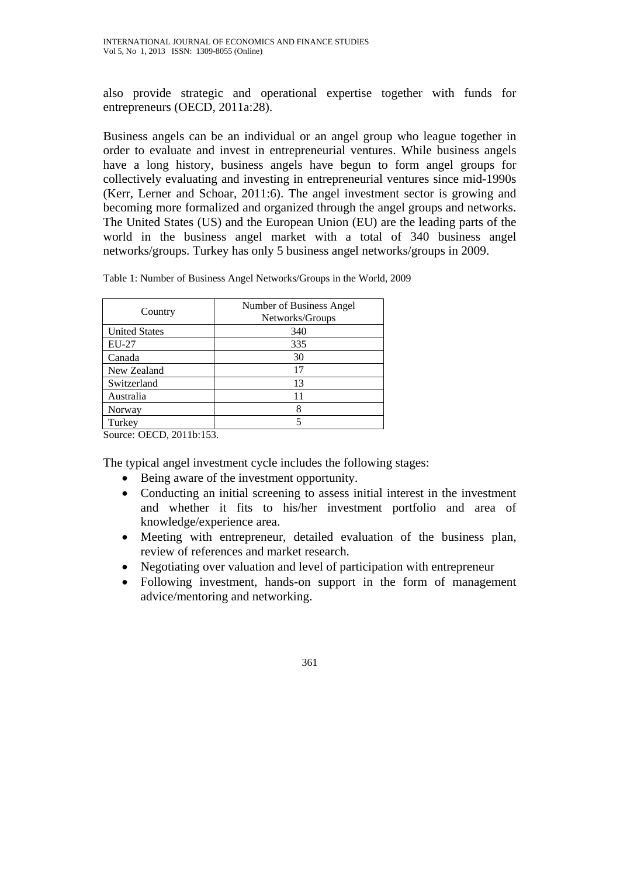also provide strategic and operational expertise together with funds for entrepreneurs (OECD, 2011a:28).

Business angels can be an individual or an angel group who league together in order to evaluate and invest in entrepreneurial ventures. While business angels have a long history, business angels have begun to form angel groups for collectively evaluating and investing in entrepreneurial ventures since mid-1990s (Kerr, Lerner and Schoar, 2011:6). The angel investment sector is growing and becoming more formalized and organized through the angel groups and networks. The United States (US) and the European Union (EU) are the leading parts of the world in the business angel market with a total of 340 business angel networks/groups. Turkey has only 5 business angel networks/groups in 2009.

Table 1: Number of Business Angel Networks/Groups in the World, 2009

| Country              | Number of Business Angel<br>Networks/Groups |
|----------------------|---------------------------------------------|
| <b>United States</b> | 340                                         |
| $EU-27$              | 335                                         |
| Canada               | 30                                          |
| New Zealand          | 17                                          |
| Switzerland          | 13                                          |
| Australia            | 11                                          |
| Norway               | 8                                           |
| Turkey               | 5                                           |

Source: OECD, 2011b:153.

The typical angel investment cycle includes the following stages:

- Being aware of the investment opportunity.
- Conducting an initial screening to assess initial interest in the investment and whether it fits to his/her investment portfolio and area of knowledge/experience area.
- Meeting with entrepreneur, detailed evaluation of the business plan, review of references and market research.
- Negotiating over valuation and level of participation with entrepreneur
- Following investment, hands-on support in the form of management advice/mentoring and networking.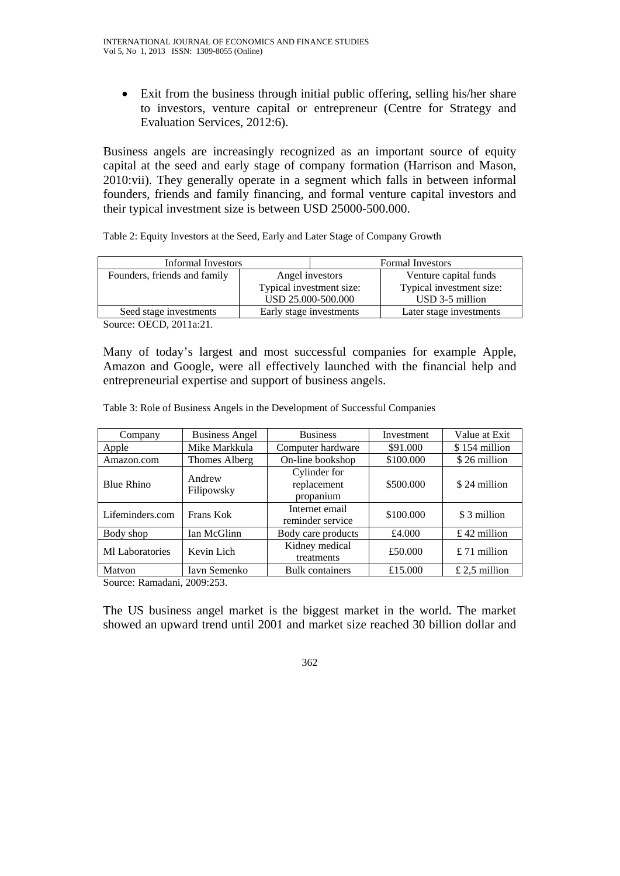• Exit from the business through initial public offering, selling his/her share to investors, venture capital or entrepreneur (Centre for Strategy and Evaluation Services, 2012:6).

Business angels are increasingly recognized as an important source of equity capital at the seed and early stage of company formation (Harrison and Mason, 2010:vii). They generally operate in a segment which falls in between informal founders, friends and family financing, and formal venture capital investors and their typical investment size is between USD 25000-500.000.

Table 2: Equity Investors at the Seed, Early and Later Stage of Company Growth

| Informal Investors           |                          | <b>Formal Investors</b> |                          |
|------------------------------|--------------------------|-------------------------|--------------------------|
| Founders, friends and family | Angel investors          |                         | Venture capital funds    |
|                              | Typical investment size: |                         | Typical investment size: |
|                              |                          | USD 25.000-500.000      | USD 3-5 million          |
| Seed stage investments       |                          | Early stage investments | Later stage investments  |

Source: OECD, 2011a:21.

Many of today's largest and most successful companies for example Apple, Amazon and Google, were all effectively launched with the financial help and entrepreneurial expertise and support of business angels.

Table 3: Role of Business Angels in the Development of Successful Companies

| Company                             | <b>Business Angel</b> | <b>Business</b>                                       | Investment                | Value at Exit  |
|-------------------------------------|-----------------------|-------------------------------------------------------|---------------------------|----------------|
| Apple                               | Mike Markkula         | \$91,000<br>Computer hardware                         |                           | \$154 million  |
| Amazon.com                          | Thomes Alberg         | On-line bookshop                                      | \$100.000<br>\$26 million |                |
| <b>Blue Rhino</b>                   | Andrew<br>Filipowsky  | Cylinder for<br>\$500.000<br>replacement<br>propanium |                           | \$24 million   |
| Lifeminders.com                     | Frans Kok             | Internet email<br>reminder service                    | \$100.000                 | \$ 3 million   |
| Body shop                           | Ian McGlinn           | £4.000<br>Body care products                          |                           | $£$ 42 million |
| <b>MI</b> Laboratories              | Kevin Lich            | Kidney medical<br>treatments                          | £50.000                   | £ 71 million   |
| Matvon<br>$\alpha$ $\alpha$ $\beta$ | Iavn Semenko          | £15.000<br><b>Bulk</b> containers                     |                           | £ 2,5 million  |

Source: Ramadani, 2009:253.

The US business angel market is the biggest market in the world. The market showed an upward trend until 2001 and market size reached 30 billion dollar and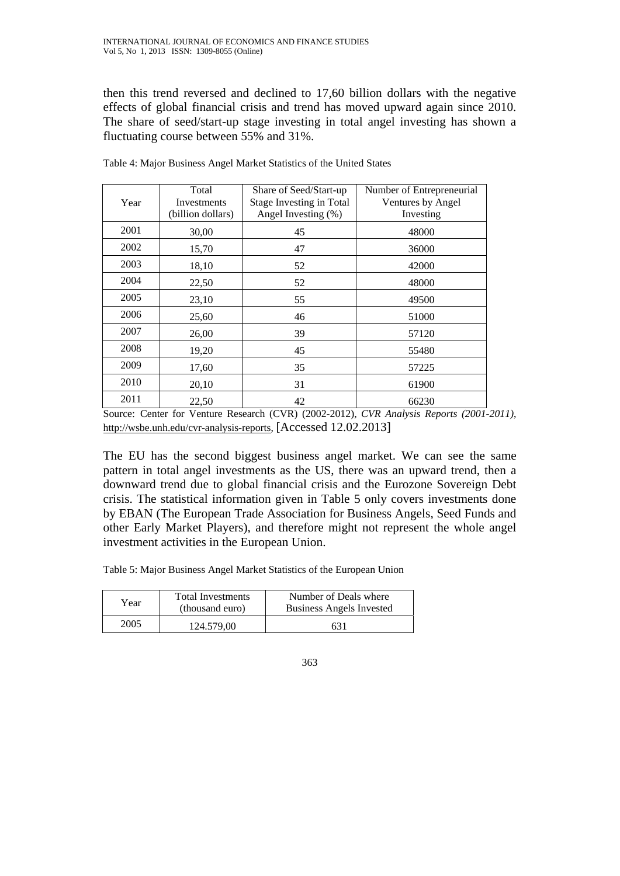then this trend reversed and declined to 17,60 billion dollars with the negative effects of global financial crisis and trend has moved upward again since 2010. The share of seed/start-up stage investing in total angel investing has shown a fluctuating course between 55% and 31%.

|      | Total             | Share of Seed/Start-up          | Number of Entrepreneurial |
|------|-------------------|---------------------------------|---------------------------|
| Year | Investments       | <b>Stage Investing in Total</b> | Ventures by Angel         |
|      | (billion dollars) | Angel Investing (%)             | Investing                 |
| 2001 | 30,00             | 45                              | 48000                     |
| 2002 | 15,70             | 47                              | 36000                     |
| 2003 | 18,10             | 52                              | 42000                     |
| 2004 | 22,50             | 52                              | 48000                     |
| 2005 | 23,10             | 55                              | 49500                     |
| 2006 | 25,60             | 46                              | 51000                     |
| 2007 | 26,00             | 39                              | 57120                     |
| 2008 | 19,20             | 45                              | 55480                     |
| 2009 | 17,60             | 35                              | 57225                     |
| 2010 | 20,10             | 31                              | 61900                     |
| 2011 | 22,50             | 42                              | 66230                     |

Table 4: Major Business Angel Market Statistics of the United States

Source: Center for Venture Research (CVR) (2002-2012), *CVR Analysis Reports (2001-2011)*, http://wsbe.unh.edu/cvr-analysis-reports, [Accessed 12.02.2013]

The EU has the second biggest business angel market. We can see the same pattern in total angel investments as the US, there was an upward trend, then a downward trend due to global financial crisis and the Eurozone Sovereign Debt crisis. The statistical information given in Table 5 only covers investments done by EBAN (The European Trade Association for Business Angels, Seed Funds and other Early Market Players), and therefore might not represent the whole angel investment activities in the European Union.

Table 5: Major Business Angel Market Statistics of the European Union

| Year | <b>Total Investments</b><br>(thousand euro) | Number of Deals where<br>Business Angels Invested |
|------|---------------------------------------------|---------------------------------------------------|
| 2005 | 124.579.00                                  | 631                                               |

<sup>363</sup>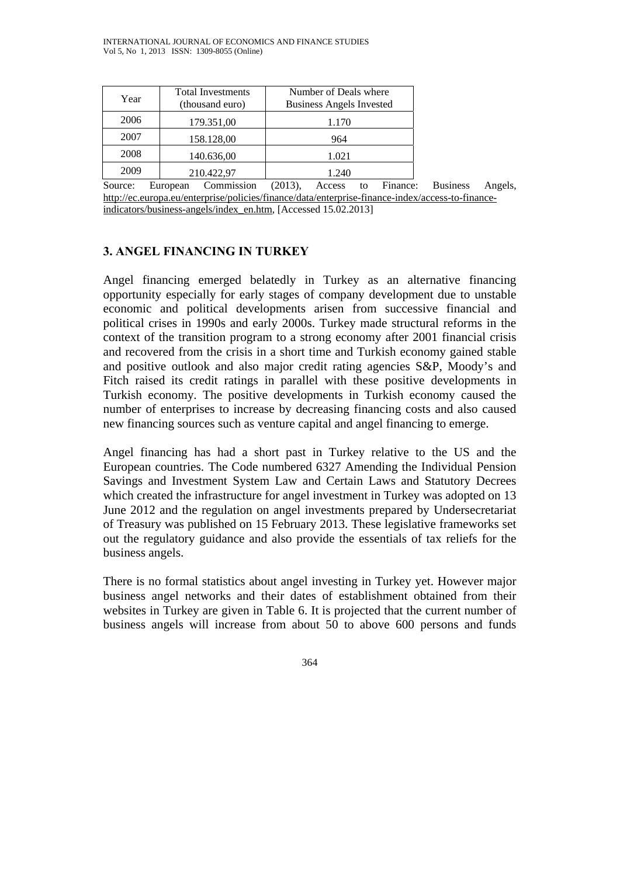| Year          | <b>Total Investments</b><br>(thousand euro)    | Number of Deals where<br><b>Business Angels Invested</b> |
|---------------|------------------------------------------------|----------------------------------------------------------|
| 2006          | 179.351,00                                     | 1.170                                                    |
| 2007          | 158.128,00                                     | 964                                                      |
| 2008          | 140.636,00                                     | 1.021                                                    |
| 2009          | 210.422,97                                     | 1.240                                                    |
| $\sim$ $\sim$ | $\sim$ $\sim$ $\sim$ $\sim$ $\sim$ $\sim$<br>Ē | $\mathbf{r}$<br>(0.012)<br>$\lambda$ and $\lambda$       |

Source: European Commission (2013), Access to Finance: Business Angels, http://ec.europa.eu/enterprise/policies/finance/data/enterprise-finance-index/access-to-financeindicators/business-angels/index\_en.htm, [Accessed 15.02.2013]

### **3. ANGEL FINANCING IN TURKEY**

Angel financing emerged belatedly in Turkey as an alternative financing opportunity especially for early stages of company development due to unstable economic and political developments arisen from successive financial and political crises in 1990s and early 2000s. Turkey made structural reforms in the context of the transition program to a strong economy after 2001 financial crisis and recovered from the crisis in a short time and Turkish economy gained stable and positive outlook and also major credit rating agencies S&P, Moody's and Fitch raised its credit ratings in parallel with these positive developments in Turkish economy. The positive developments in Turkish economy caused the number of enterprises to increase by decreasing financing costs and also caused new financing sources such as venture capital and angel financing to emerge.

Angel financing has had a short past in Turkey relative to the US and the European countries. The Code numbered 6327 Amending the Individual Pension Savings and Investment System Law and Certain Laws and Statutory Decrees which created the infrastructure for angel investment in Turkey was adopted on 13 June 2012 and the regulation on angel investments prepared by Undersecretariat of Treasury was published on 15 February 2013. These legislative frameworks set out the regulatory guidance and also provide the essentials of tax reliefs for the business angels.

There is no formal statistics about angel investing in Turkey yet. However major business angel networks and their dates of establishment obtained from their websites in Turkey are given in Table 6. It is projected that the current number of business angels will increase from about 50 to above 600 persons and funds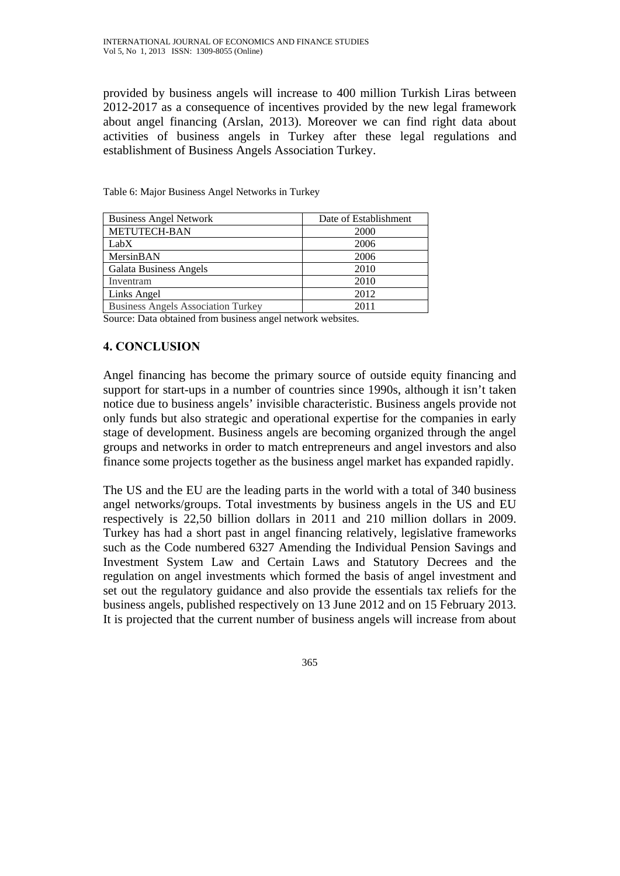provided by business angels will increase to 400 million Turkish Liras between 2012-2017 as a consequence of incentives provided by the new legal framework about angel financing (Arslan, 2013). Moreover we can find right data about activities of business angels in Turkey after these legal regulations and establishment of Business Angels Association Turkey.

| <b>Business Angel Network</b>             | Date of Establishment |
|-------------------------------------------|-----------------------|
| <b>METUTECH-BAN</b>                       | 2000                  |
| LabX                                      | 2006                  |
| MersinBAN                                 | 2006                  |
| <b>Galata Business Angels</b>             | 2010                  |
| Inventram                                 | 2010                  |
| Links Angel                               | 2012                  |
| <b>Business Angels Association Turkey</b> | 2011                  |

Table 6: Major Business Angel Networks in Turkey

Source: Data obtained from business angel network websites.

### **4. CONCLUSION**

Angel financing has become the primary source of outside equity financing and support for start-ups in a number of countries since 1990s, although it isn't taken notice due to business angels' invisible characteristic. Business angels provide not only funds but also strategic and operational expertise for the companies in early stage of development. Business angels are becoming organized through the angel groups and networks in order to match entrepreneurs and angel investors and also finance some projects together as the business angel market has expanded rapidly.

The US and the EU are the leading parts in the world with a total of 340 business angel networks/groups. Total investments by business angels in the US and EU respectively is 22,50 billion dollars in 2011 and 210 million dollars in 2009. Turkey has had a short past in angel financing relatively, legislative frameworks such as the Code numbered 6327 Amending the Individual Pension Savings and Investment System Law and Certain Laws and Statutory Decrees and the regulation on angel investments which formed the basis of angel investment and set out the regulatory guidance and also provide the essentials tax reliefs for the business angels, published respectively on 13 June 2012 and on 15 February 2013. It is projected that the current number of business angels will increase from about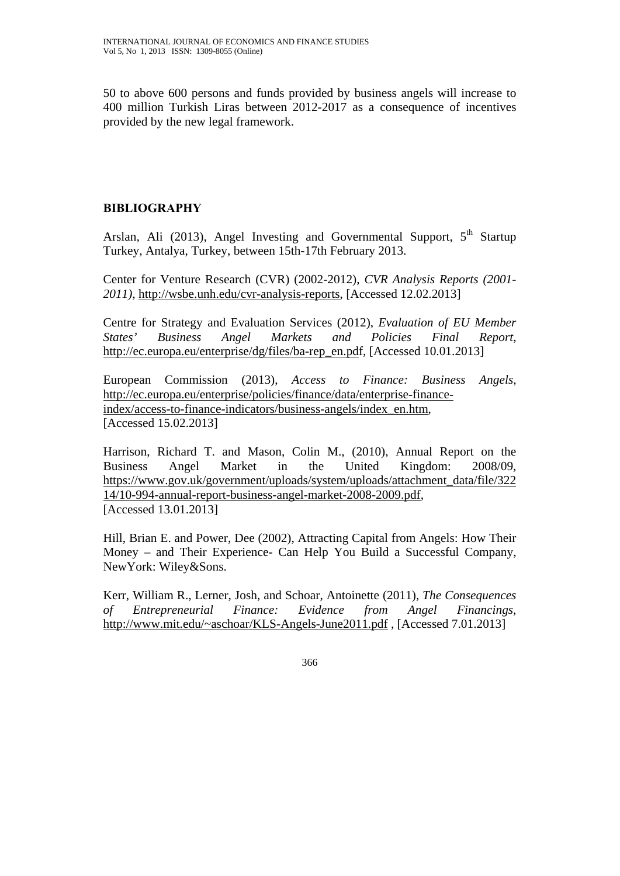50 to above 600 persons and funds provided by business angels will increase to 400 million Turkish Liras between 2012-2017 as a consequence of incentives provided by the new legal framework.

# **BIBLIOGRAPHY**

Arslan, Ali (2013), Angel Investing and Governmental Support,  $5<sup>th</sup>$  Startup Turkey, Antalya, Turkey, between 15th-17th February 2013.

Center for Venture Research (CVR) (2002-2012), *CVR Analysis Reports (2001- 2011)*, http://wsbe.unh.edu/cvr-analysis-reports, [Accessed 12.02.2013]

Centre for Strategy and Evaluation Services (2012), *Evaluation of EU Member States' Business Angel Markets and Policies Final Report*, http://ec.europa.eu/enterprise/dg/files/ba-rep\_en.pdf, [Accessed 10.01.2013]

European Commission (2013), *Access to Finance: Business Angels*, http://ec.europa.eu/enterprise/policies/finance/data/enterprise-financeindex/access-to-finance-indicators/business-angels/index\_en.htm, [Accessed 15.02.2013]

Harrison, Richard T. and Mason, Colin M., (2010), Annual Report on the Business Angel Market in the United Kingdom: 2008/09, https://www.gov.uk/government/uploads/system/uploads/attachment\_data/file/322 14/10-994-annual-report-business-angel-market-2008-2009.pdf, [Accessed 13.01.2013]

Hill, Brian E. and Power, Dee (2002), Attracting Capital from Angels: How Their Money – and Their Experience- Can Help You Build a Successful Company, NewYork: Wiley&Sons.

Kerr, William R., Lerner, Josh, and Schoar, Antoinette (2011), *The Consequences of Entrepreneurial Finance: Evidence from Angel Financings*, http://www.mit.edu/~aschoar/KLS-Angels-June2011.pdf , [Accessed 7.01.2013]